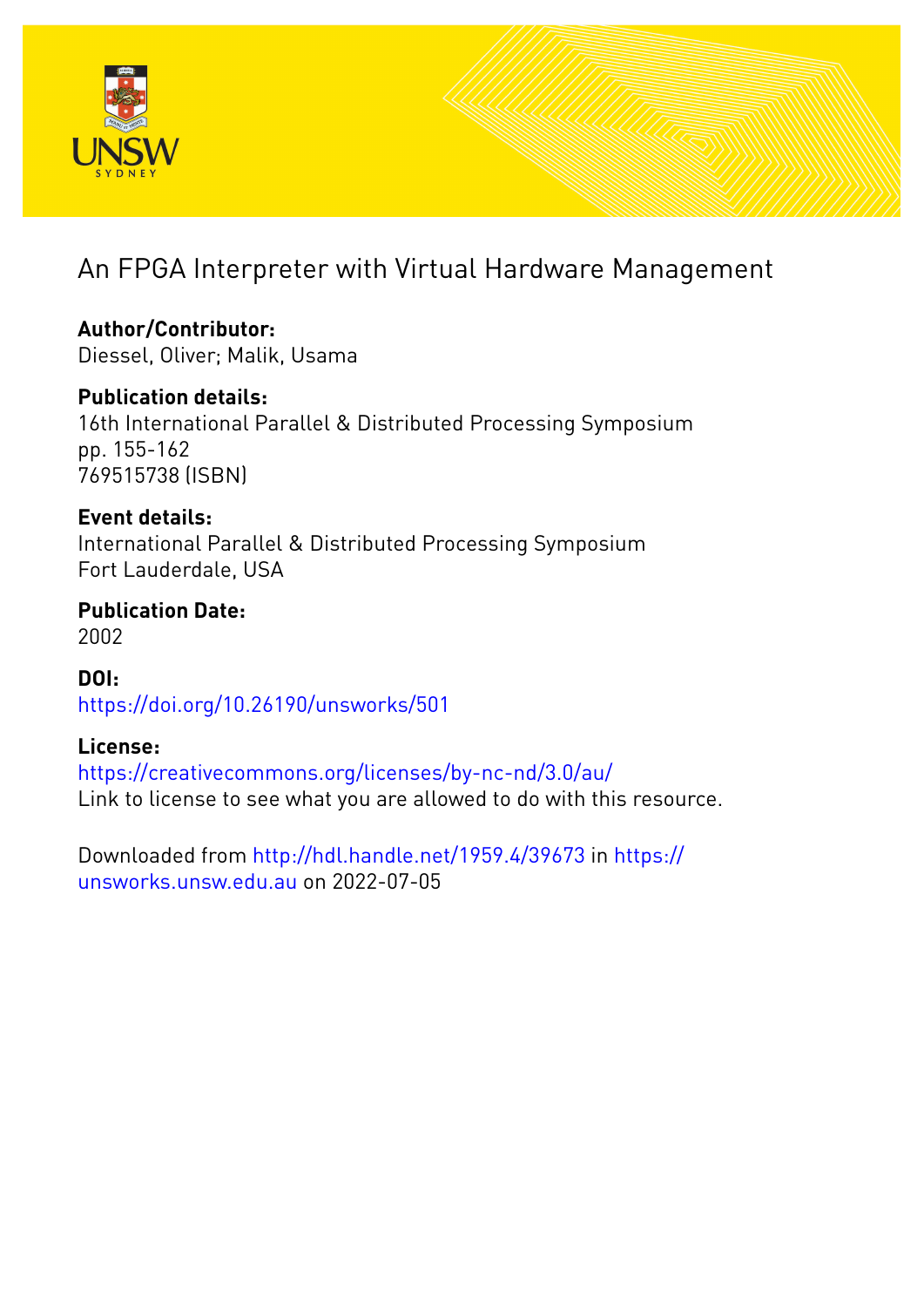

# An FPGA Interpreter with Virtual Hardware Management

**Author/Contributor:** Diessel, Oliver; Malik, Usama

## **Publication details:**

16th International Parallel & Distributed Processing Symposium pp. 155-162 769515738 (ISBN)

**Event details:**

International Parallel & Distributed Processing Symposium Fort Lauderdale, USA

**Publication Date:** 2002

**DOI:** [https://doi.org/10.26190/unsworks/501](http://dx.doi.org/https://doi.org/10.26190/unsworks/501)

### **License:**

<https://creativecommons.org/licenses/by-nc-nd/3.0/au/> Link to license to see what you are allowed to do with this resource.

Downloaded from <http://hdl.handle.net/1959.4/39673> in [https://](https://unsworks.unsw.edu.au) [unsworks.unsw.edu.au](https://unsworks.unsw.edu.au) on 2022-07-05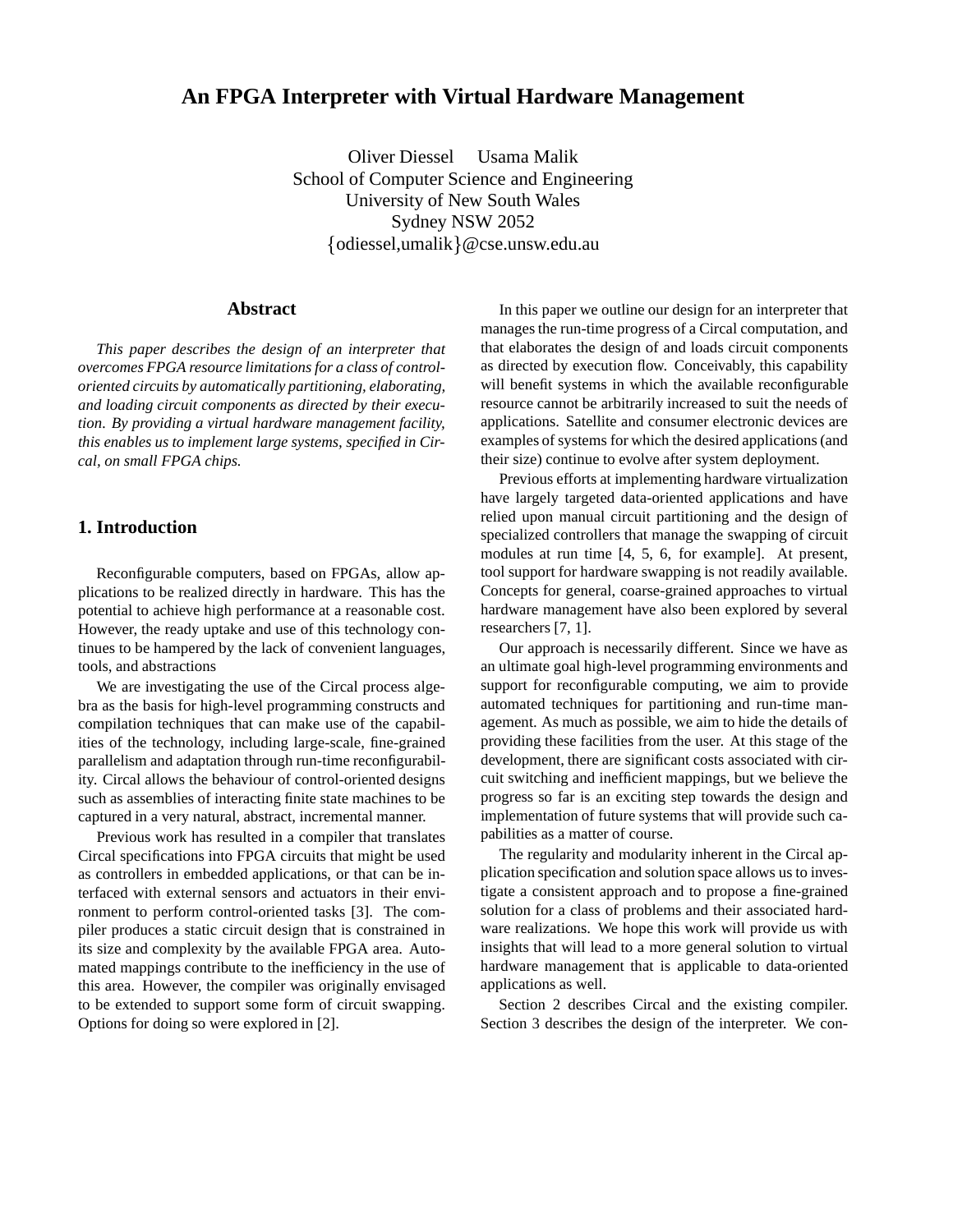### **An FPGA Interpreter with Virtual Hardware Management**

Oliver Diessel Usama Malik School of Computer Science and Engineering University of New South Wales Sydney NSW 2052  ${odi}$ essel,umalik $}$ @cse.unsw.edu.au

#### **Abstract**

*This paper describes the design of an interpreter that overcomes FPGA resource limitations for a class of controloriented circuits by automatically partitioning, elaborating, and loading circuit components as directed by their execution. By providing a virtual hardware management facility, this enables us to implement large systems, specified in Circal, on small FPGA chips.*

#### **1. Introduction**

Reconfigurable computers, based on FPGAs, allow applications to be realized directly in hardware. This has the potential to achieve high performance at a reasonable cost. However, the ready uptake and use of this technology continues to be hampered by the lack of convenient languages, tools, and abstractions

We are investigating the use of the Circal process algebra as the basis for high-level programming constructs and compilation techniques that can make use of the capabilities of the technology, including large-scale, fine-grained parallelism and adaptation through run-time reconfigurability. Circal allows the behaviour of control-oriented designs such as assemblies of interacting finite state machines to be captured in a very natural, abstract, incremental manner.

Previous work has resulted in a compiler that translates Circal specifications into FPGA circuits that might be used as controllers in embedded applications, or that can be interfaced with external sensors and actuators in their environment to perform control-oriented tasks [3]. The compiler produces a static circuit design that is constrained in its size and complexity by the available FPGA area. Automated mappings contribute to the inefficiency in the use of this area. However, the compiler was originally envisaged to be extended to support some form of circuit swapping. Options for doing so were explored in [2].

In this paper we outline our design for an interpreter that manages the run-time progress of a Circal computation, and that elaborates the design of and loads circuit components as directed by execution flow. Conceivably, this capability will benefit systems in which the available reconfigurable resource cannot be arbitrarily increased to suit the needs of applications. Satellite and consumer electronic devices are examples of systems for which the desired applications(and their size) continue to evolve after system deployment.

Previous efforts at implementing hardware virtualization have largely targeted data-oriented applications and have relied upon manual circuit partitioning and the design of specialized controllers that manage the swapping of circuit modules at run time [4, 5, 6, for example]. At present, tool support for hardware swapping is not readily available. Concepts for general, coarse-grained approaches to virtual hardware management have also been explored by several researchers [7, 1].

Our approach is necessarily different. Since we have as an ultimate goal high-level programming environments and support for reconfigurable computing, we aim to provide automated techniques for partitioning and run-time management. As much as possible, we aim to hide the details of providing these facilities from the user. At this stage of the development, there are significant costs associated with circuit switching and inefficient mappings, but we believe the progress so far is an exciting step towards the design and implementation of future systems that will provide such capabilities as a matter of course.

The regularity and modularity inherent in the Circal application specification and solution space allows us to investigate a consistent approach and to propose a fine-grained solution for a class of problems and their associated hardware realizations. We hope this work will provide us with insights that will lead to a more general solution to virtual hardware management that is applicable to data-oriented applications as well.

Section 2 describes Circal and the existing compiler. Section 3 describes the design of the interpreter. We con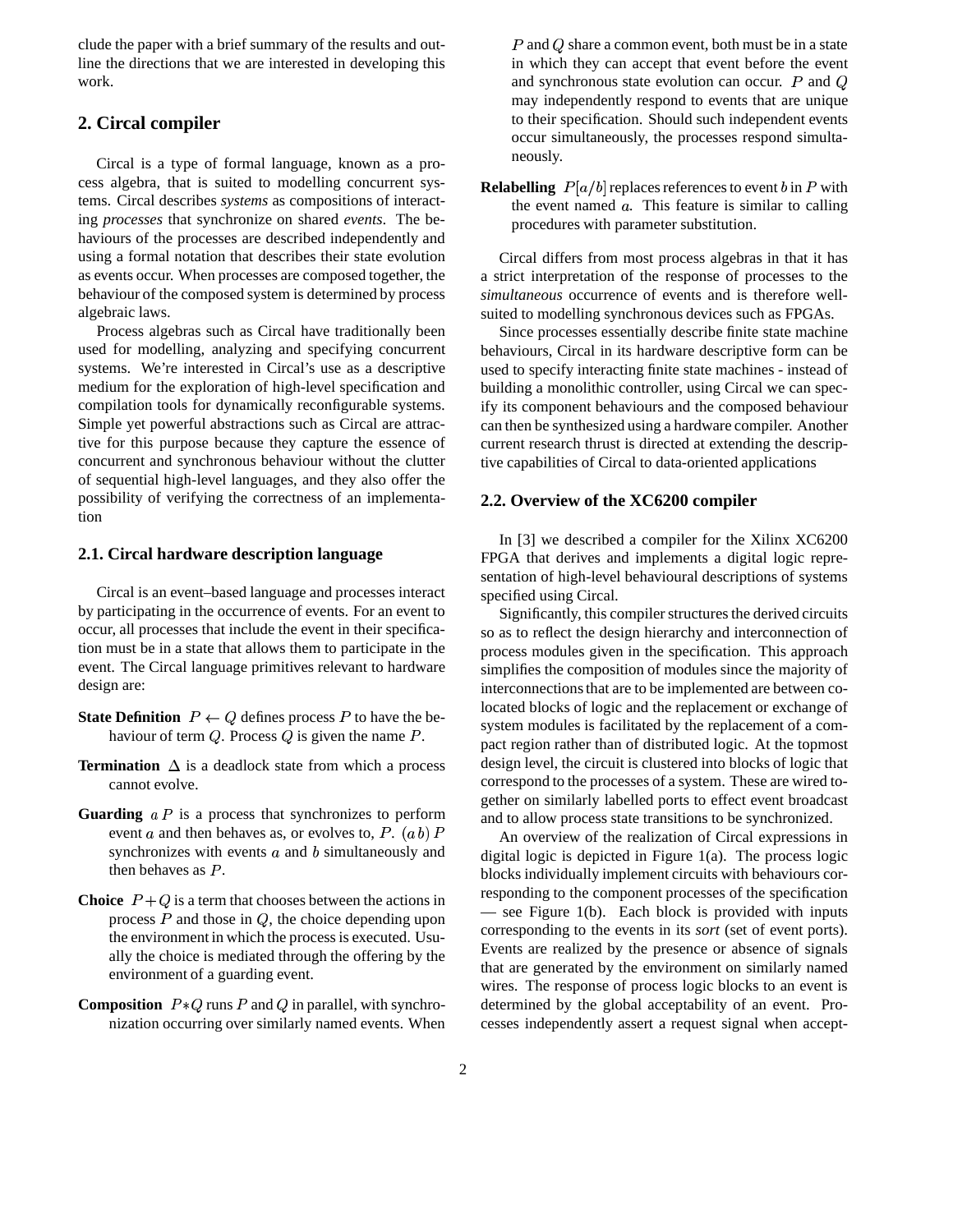clude the paper with a brief summary of the results and outline the directions that we are interested in developing this work.

#### **2. Circal compiler**

Circal is a type of formal language, known as a process algebra, that is suited to modelling concurrent systems. Circal describes *systems* as compositions of interacting *processes* that synchronize on shared *events*. The behaviours of the processes are described independently and using a formal notation that describes their state evolution as events occur. When processes are composed together, the behaviour of the composed system is determined by process algebraic laws.

Process algebras such as Circal have traditionally been used for modelling, analyzing and specifying concurrent systems. We're interested in Circal's use as a descriptive medium for the exploration of high-level specification and compilation tools for dynamically reconfigurable systems. Simple yet powerful abstractions such as Circal are attractive for this purpose because they capture the essence of concurrent and synchronous behaviour without the clutter of sequential high-level languages, and they also offer the possibility of verifying the correctness of an implementation

#### **2.1. Circal hardware description language**

Circal is an event–based language and processes interact by participating in the occurrence of events. For an event to occur, all processes that include the event in their specification must be in a state that allows them to participate in the event. The Circal language primitives relevant to hardware design are:

- **State Definition**  $P \leftarrow Q$  defines process P to have the behaviour of term  $Q$ . Process  $Q$  is given the name  $P$ .
- **Termination**  $\Delta$  is a deadlock state from which a process cannot evolve.
- **Guarding**  $a P$  is a process that synchronizes to perform event a and then behaves as, or evolves to, P.  $(a, b)$  P synchronizes with events  $a$  and  $b$  simultaneously and then behaves as  $P$ .
- **Choice**  $P + Q$  is a term that chooses between the actions in process  $P$  and those in  $Q$ , the choice depending upon the environment in which the processis executed. Usually the choice is mediated through the offering by the environment of a guarding event.
- **Composition**  $P * Q$  runs  $P$  and  $Q$  in parallel, with synchronization occurring over similarly named events. When

 $P$  and  $Q$  share a common event, both must be in a state in which they can accept that event before the event and synchronous state evolution can occur.  $P$  and  $Q$ may independently respond to events that are unique to their specification. Should such independent events occur simultaneously, the processes respond simultaneously.

**Relabelling**  $P[a/b]$  replaces references to event b in P with the event named  $a$ . This feature is similar to calling procedures with parameter substitution.

Circal differs from most process algebras in that it has a strict interpretation of the response of processes to the *simultaneous* occurrence of events and is therefore wellsuited to modelling synchronous devices such as FPGAs.

Since processes essentially describe finite state machine behaviours, Circal in its hardware descriptive form can be used to specify interacting finite state machines - instead of building a monolithic controller, using Circal we can specify its component behaviours and the composed behaviour can then be synthesized using a hardware compiler. Another current research thrust is directed at extending the descriptive capabilities of Circal to data-oriented applications

#### **2.2. Overview of the XC6200 compiler**

In [3] we described a compiler for the Xilinx XC6200 FPGA that derives and implements a digital logic representation of high-level behavioural descriptions of systems specified using Circal.

Significantly, this compiler structures the derived circuits so as to reflect the design hierarchy and interconnection of process modules given in the specification. This approach simplifies the composition of modules since the majority of interconnections that are to be implemented are between colocated blocks of logic and the replacement or exchange of system modules is facilitated by the replacement of a compact region rather than of distributed logic. At the topmost design level, the circuit is clustered into blocks of logic that correspond to the processes of a system. These are wired together on similarly labelled ports to effect event broadcast and to allow process state transitions to be synchronized.

 $h P$  An overview of the realization of Circal expressions in digital logic is depicted in Figure 1(a). The process logic blocks individually implement circuits with behaviours corresponding to the component processes of the specification — see Figure  $1(b)$ . Each block is provided with inputs corresponding to the events in its *sort* (set of event ports). Events are realized by the presence or absence of signals that are generated by the environment on similarly named wires. The response of process logic blocks to an event is determined by the global acceptability of an event. Processes independently assert a request signal when accept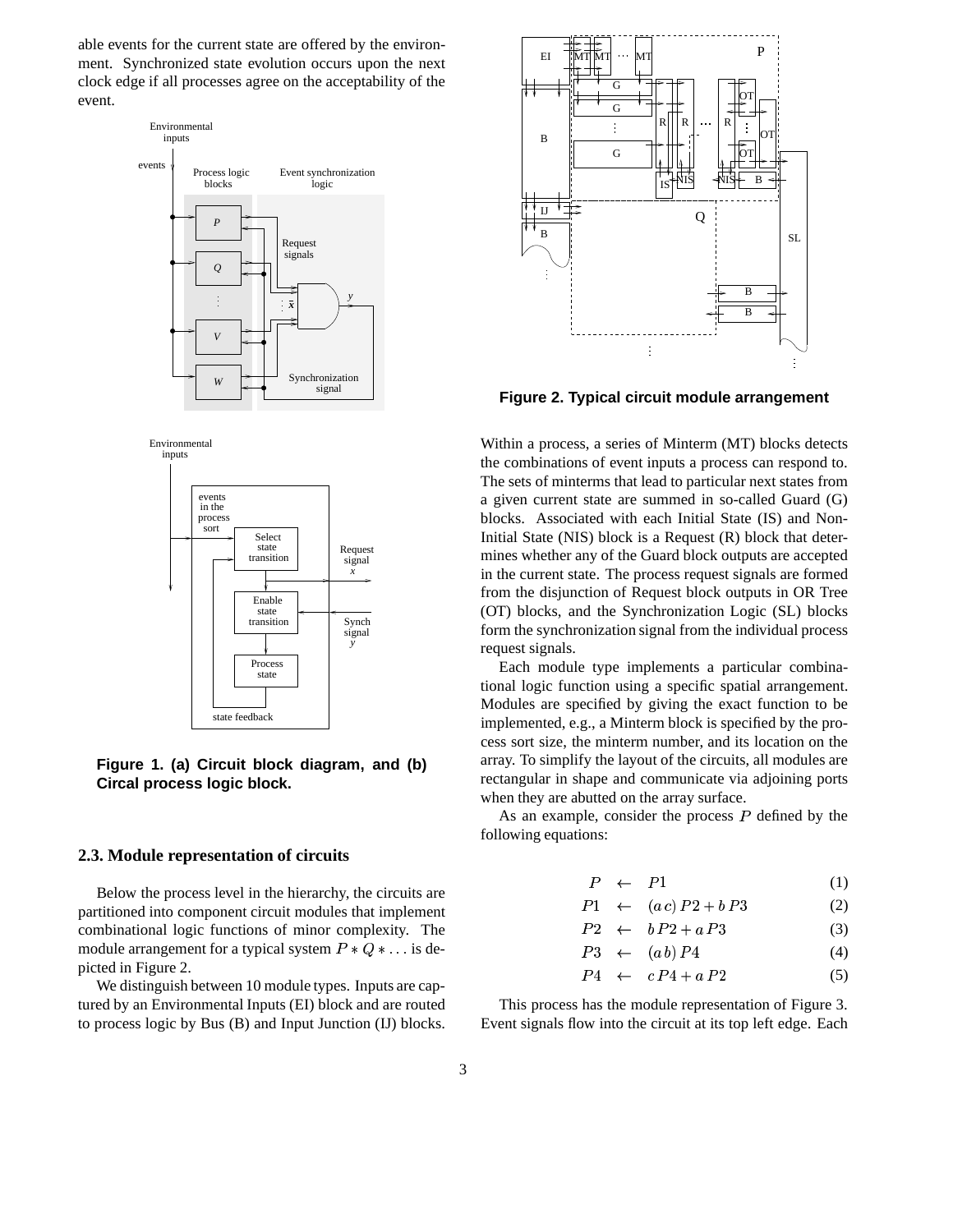able events for the current state are offered by the environment. Synchronized state evolution occurs upon the next clock edge if all processes agree on the acceptability of the event.





**Figure 1. (a) Circuit block diagram, and (b) Circal process logic block.**

#### **2.3. Module representation of circuits**

Below the process level in the hierarchy, the circuits are partitioned into component circuit modules that implement combinational logic functions of minor complexity. The module arrangement for a typical system  $P * Q * \dots$  is depicted in Figure 2.

We distinguish between 10 module types. Inputs are captured by an Environmental Inputs (EI) block and are routed to process logic by Bus (B) and Input Junction (IJ) blocks.



**Figure 2. Typical circuit module arrangement**

Within a process, a series of Minterm (MT) blocks detects the combinations of event inputs a process can respond to. The sets of minterms that lead to particular next states from a given current state are summed in so-called Guard (G) blocks. Associated with each Initial State (IS) and Non-Initial State (NIS) block is a Request (R) block that determines whether any of the Guard block outputs are accepted in the current state. The process request signals are formed from the disjunction of Request block outputs in OR Tree (OT) blocks, and the Synchronization Logic (SL) blocks form the synchronization signal from the individual process request signals.

Each module type implements a particular combinational logic function using a specific spatial arrangement. Modules are specified by giving the exact function to be implemented, e.g., a Minterm block is specified by the process sort size, the minterm number, and its location on the array. To simplify the layout of the circuits, all modules are rectangular in shape and communicate via adjoining ports when they are abutted on the array surface.

As an example, consider the process  $P$  defined by the following equations:

$$
P \leftarrow P1 \tag{1}
$$

$$
P1 \leftarrow (a \, c) \, P2 + b \, P3 \tag{2}
$$

$$
P2 \quad \leftarrow \quad b \, P2 + a \, P3 \tag{3}
$$

$$
P3 \leftarrow (a b) P4 \tag{4}
$$

$$
P4 \leftarrow cP4 + aP2 \tag{5}
$$

This process has the module representation of Figure 3. Event signals flow into the circuit at its top left edge. Each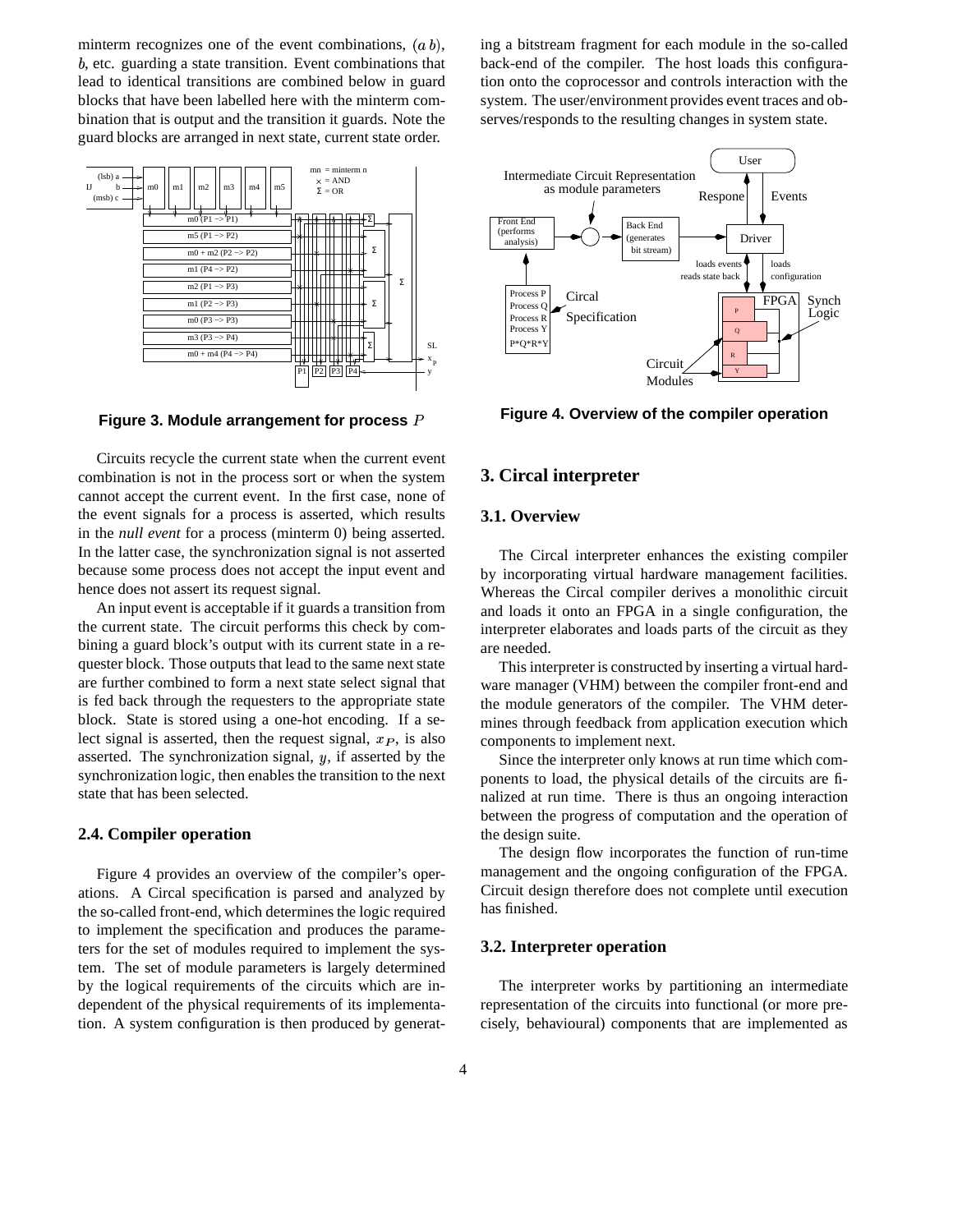minterm recognizes one of the event combinations,  $(a, b)$ , , etc. guarding a state transition. Event combinations that lead to identical transitions are combined below in guard blocks that have been labelled here with the minterm combination that is output and the transition it guards. Note the guard blocks are arranged in next state, current state order.



**Figure 3. Module arrangement for process**

Circuits recycle the current state when the current event combination is not in the process sort or when the system cannot accept the current event. In the first case, none of the event signals for a process is asserted, which results in the *null event* for a process (minterm 0) being asserted. In the latter case, the synchronization signal is not asserted because some process does not accept the input event and hence does not assert its request signal.

An input event is acceptable if it guards a transition from the current state. The circuit performs this check by combining a guard block's output with its current state in a requester block. Those outputs that lead to the same next state are further combined to form a next state select signal that is fed back through the requesters to the appropriate state block. State is stored using a one-hot encoding. If a select signal is asserted, then the request signal,  $x_P$ , is also asserted. The synchronization signal,  $y$ , if asserted by the synchronization logic, then enables the transition to the next state that has been selected.

#### **2.4. Compiler operation**

Figure 4 provides an overview of the compiler's operations. A Circal specification is parsed and analyzed by the so-called front-end, which determines the logic required to implement the specification and produces the parameters for the set of modules required to implement the system. The set of module parameters is largely determined by the logical requirements of the circuits which are independent of the physical requirements of its implementation. A system configuration is then produced by generating a bitstream fragment for each module in the so-called back-end of the compiler. The host loads this configuration onto the coprocessor and controls interaction with the system. The user/environment provides event traces and observes/responds to the resulting changes in system state.



**Figure 4. Overview of the compiler operation**

#### **3. Circal interpreter**

#### **3.1. Overview**

The Circal interpreter enhances the existing compiler by incorporating virtual hardware management facilities. Whereas the Circal compiler derives a monolithic circuit and loads it onto an FPGA in a single configuration, the interpreter elaborates and loads parts of the circuit as they are needed.

This interpreter is constructed by inserting a virtual hardware manager (VHM) between the compiler front-end and the module generators of the compiler. The VHM determines through feedback from application execution which components to implement next.

Since the interpreter only knows at run time which components to load, the physical details of the circuits are finalized at run time. There is thus an ongoing interaction between the progress of computation and the operation of the design suite.

The design flow incorporates the function of run-time management and the ongoing configuration of the FPGA. Circuit design therefore does not complete until execution has finished.

#### **3.2. Interpreter operation**

The interpreter works by partitioning an intermediate representation of the circuits into functional (or more precisely, behavioural) components that are implemented as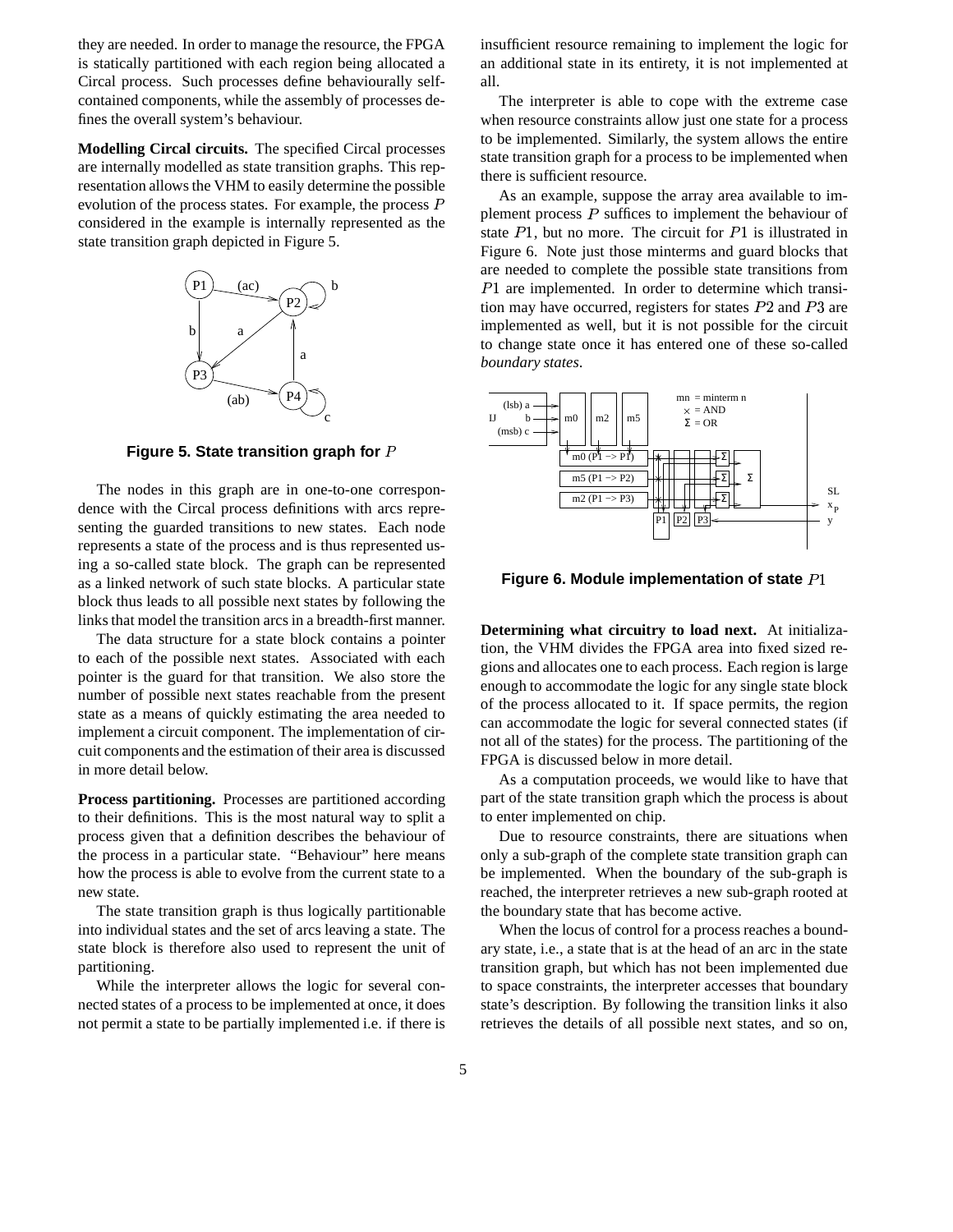they are needed. In order to manage the resource, the FPGA is statically partitioned with each region being allocated a Circal process. Such processes define behaviourally selfcontained components, while the assembly of processes defines the overall system's behaviour.

**Modelling Circal circuits.** The specified Circal processes are internally modelled as state transition graphs. This representation allows the VHM to easily determine the possible evolution of the process states. For example, the process  $P$ considered in the example is internally represented as the state transition graph depicted in Figure 5.



**Figure 5. State transition graph for**

The nodes in this graph are in one-to-one correspondence with the Circal process definitions with arcs representing the guarded transitions to new states. Each node represents a state of the process and is thus represented using a so-called state block. The graph can be represented as a linked network of such state blocks. A particular state block thus leads to all possible next states by following the links that model the transition arcs in a breadth-first manner.

The data structure for a state block contains a pointer to each of the possible next states. Associated with each pointer is the guard for that transition. We also store the number of possible next states reachable from the present state as a means of quickly estimating the area needed to implement a circuit component. The implementation of circuit components and the estimation of their area is discussed in more detail below.

**Process partitioning.** Processes are partitioned according to their definitions. This is the most natural way to split a process given that a definition describes the behaviour of the process in a particular state. "Behaviour" here means how the process is able to evolve from the current state to a new state.

The state transition graph is thus logically partitionable into individual states and the set of arcs leaving a state. The state block is therefore also used to represent the unit of partitioning.

While the interpreter allows the logic for several connected states of a process to be implemented at once, it does not permit a state to be partially implemented i.e. if there is

insufficient resource remaining to implement the logic for an additional state in its entirety, it is not implemented at all.

The interpreter is able to cope with the extreme case when resource constraints allow just one state for a process to be implemented. Similarly, the system allows the entire state transition graph for a process to be implemented when there is sufficient resource.

As an example, suppose the array area available to implement process  $P$  suffices to implement the behaviour of state  $P1$ , but no more. The circuit for  $P1$  is illustrated in Figure 6. Note just those minterms and guard blocks that are needed to complete the possible state transitions from  $P1$  are implemented. In order to determine which transition may have occurred, registers for states  $P2$  and  $P3$  are implemented as well, but it is not possible for the circuit to change state once it has entered one of these so-called *boundary states*.



**Figure 6. Module implementation of state**

**Determining what circuitry to load next.** At initialization, the VHM divides the FPGA area into fixed sized regions and allocates one to each process. Each region is large enough to accommodate the logic for any single state block of the process allocated to it. If space permits, the region can accommodate the logic for several connected states (if not all of the states) for the process. The partitioning of the FPGA is discussed below in more detail.

As a computation proceeds, we would like to have that part of the state transition graph which the process is about to enter implemented on chip.

Due to resource constraints, there are situations when only a sub-graph of the complete state transition graph can be implemented. When the boundary of the sub-graph is reached, the interpreter retrieves a new sub-graph rooted at the boundary state that has become active.

When the locus of control for a process reaches a boundary state, i.e., a state that is at the head of an arc in the state transition graph, but which has not been implemented due to space constraints, the interpreter accesses that boundary state's description. By following the transition links it also retrieves the details of all possible next states, and so on,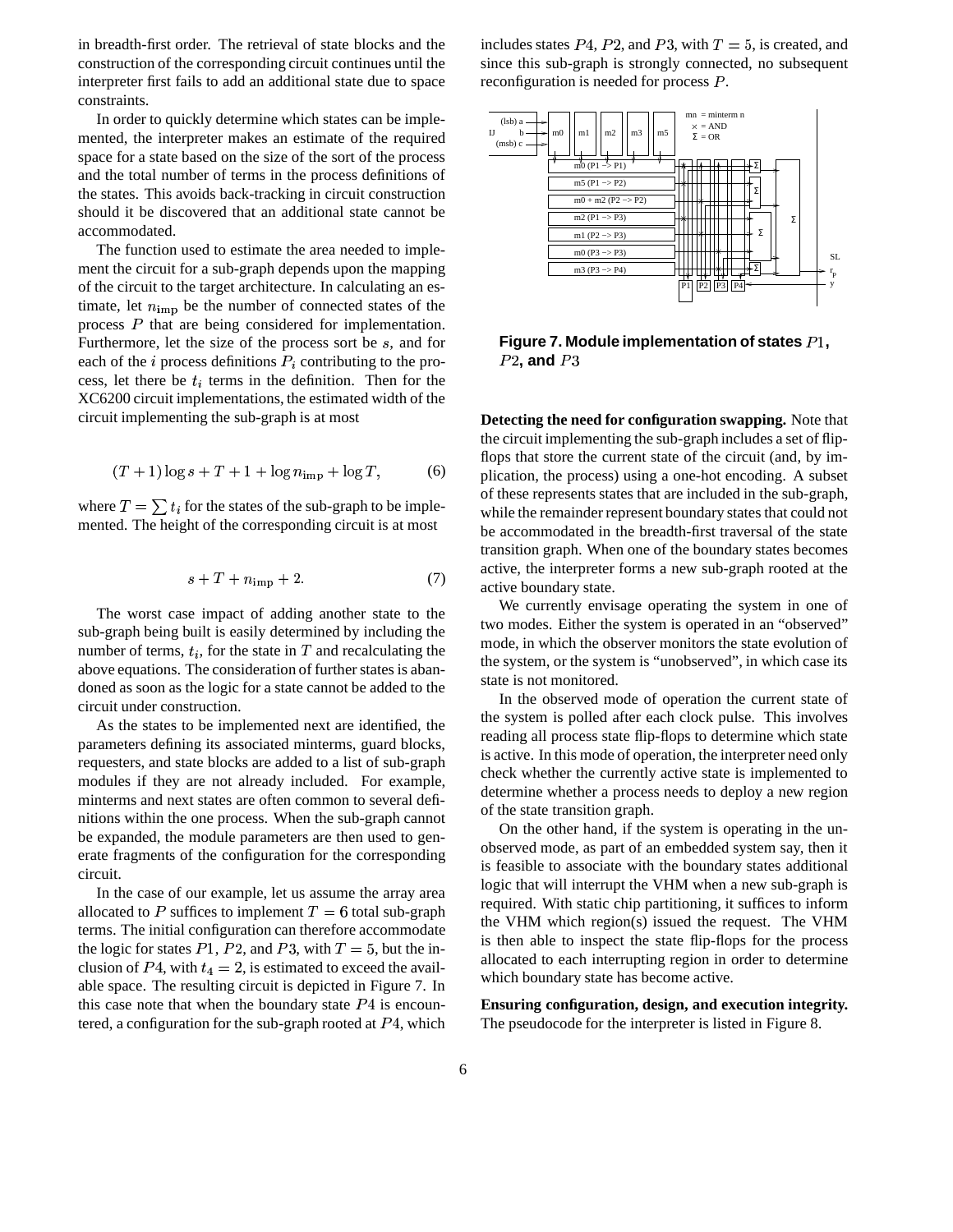in breadth-first order. The retrieval of state blocks and the construction of the corresponding circuit continues until the interpreter first fails to add an additional state due to space constraints.

In order to quickly determine which states can be implemented, the interpreter makes an estimate of the required space for a state based on the size of the sort of the process and the total number of terms in the process definitions of the states. This avoids back-tracking in circuit construction should it be discovered that an additional state cannot be accommodated.

The function used to estimate the area needed to implement the circuit for a sub-graph depends upon the mapping of the circuit to the target architecture. In calculating an estimate, let  $n_{\text{imp}}$  be the number of connected states of the process  $P$  that are being considered for implementation. Furthermore, let the size of the process sort be  $s$ , and for each of the  $i$  process definitions  $P_i$  contributing to the process, let there be  $t_i$  terms in the definition. Then for the XC6200 circuit implementations, the estimated width of the circuit implementing the sub-graph is at most

$$
(T+1)\log s + T + 1 + \log n_{\rm imp} + \log T,\tag{6}
$$

where  $T = \sum t_i$  for the states of the sub-graph to be implemented. The height of the corresponding circuit is at most

$$
s + T + n_{\rm imp} + 2. \tag{7}
$$

The worst case impact of adding another state to the sub-graph being built is easily determined by including the number of terms,  $t_i$ , for the state in T and recalculating the above equations. The consideration of further states is abandoned as soon as the logic for a state cannot be added to the circuit under construction.

As the states to be implemented next are identified, the parameters defining its associated minterms, guard blocks, requesters, and state blocks are added to a list of sub-graph modules if they are not already included. For example, minterms and next states are often common to several definitions within the one process. When the sub-graph cannot be expanded, the module parameters are then used to generate fragments of the configuration for the corresponding circuit.

In the case of our example, let us assume the array area allocated to P suffices to implement  $T = 6$  total sub-graph terms. The initial configuration can therefore accommodate the logic for states  $P1$ ,  $P2$ , and  $P3$ , with  $T = 5$ , but the inclusion of  $P_4$ , with  $t_4 = 2$ , is estimated to exceed the available space. The resulting circuit is depicted in Figure 7. In this case note that when the boundary state  $P_4$  is encountered, a configuration for the sub-graph rooted at  $P_4$ , which

includes states  $P_4$ ,  $P_2$ , and  $P_3$ , with  $T = 5$ , is created, and since this sub-graph is strongly connected, no subsequent reconfiguration is needed for process  $P$ .



**Figure 7. Module implementation of states ,**  $P2$ **, and**  $P3$ 

**Detecting the need for configuration swapping.** Note that the circuit implementing the sub-graph includes a set of flipflops that store the current state of the circuit (and, by implication, the process) using a one-hot encoding. A subset of these represents states that are included in the sub-graph, while the remainder represent boundary states that could not be accommodated in the breadth-first traversal of the state transition graph. When one of the boundary states becomes active, the interpreter forms a new sub-graph rooted at the active boundary state.

We currently envisage operating the system in one of two modes. Either the system is operated in an "observed" mode, in which the observer monitors the state evolution of the system, or the system is "unobserved", in which case its state is not monitored.

In the observed mode of operation the current state of the system is polled after each clock pulse. This involves reading all process state flip-flops to determine which state is active. In this mode of operation, the interpreter need only check whether the currently active state is implemented to determine whether a process needs to deploy a new region of the state transition graph.

On the other hand, if the system is operating in the unobserved mode, as part of an embedded system say, then it is feasible to associate with the boundary states additional logic that will interrupt the VHM when a new sub-graph is required. With static chip partitioning, it suffices to inform the VHM which region(s) issued the request. The VHM is then able to inspect the state flip-flops for the process allocated to each interrupting region in order to determine which boundary state has become active.

**Ensuring configuration, design, and execution integrity.** The pseudocode for the interpreter is listed in Figure 8.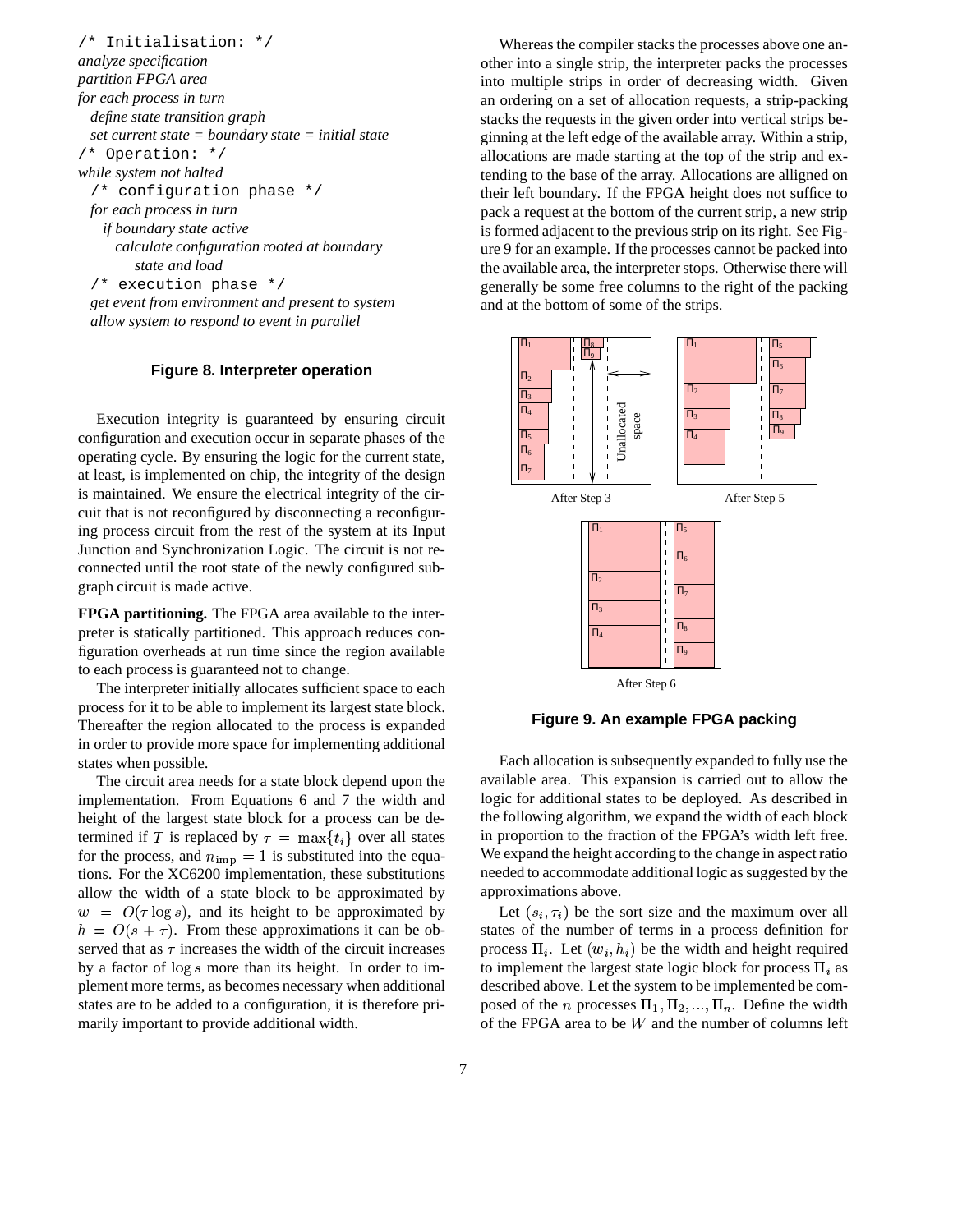| /* Initialisation:<br>$\star$ /                    |
|----------------------------------------------------|
| <i>analyze specification</i>                       |
| partition FPGA area                                |
| for each process in turn                           |
| <i>define state transition graph</i>               |
| set current state = boundary state = initial state |
| $/*$ Operation: */                                 |
| while system not halted                            |
| /* configuration phase */                          |
| for each process in turn                           |
| <i>if boundary state active</i>                    |
| calculate configuration rooted at boundary         |
| state and load                                     |
| $/*$ execution phase $*/$                          |
| get event from environment and present to system   |
| allow system to respond to event in parallel       |

#### **Figure 8. Interpreter operation**

Execution integrity is guaranteed by ensuring circuit configuration and execution occur in separate phases of the operating cycle. By ensuring the logic for the current state, at least, is implemented on chip, the integrity of the design is maintained. We ensure the electrical integrity of the circuit that is not reconfigured by disconnecting a reconfiguring process circuit from the rest of the system at its Input Junction and Synchronization Logic. The circuit is not reconnected until the root state of the newly configured subgraph circuit is made active.

**FPGA partitioning.** The FPGA area available to the interpreter is statically partitioned. This approach reduces configuration overheads at run time since the region available to each process is guaranteed not to change.

The interpreter initially allocates sufficient space to each process for it to be able to implement its largest state block. Thereafter the region allocated to the process is expanded in order to provide more space for implementing additional states when possible.

The circuit area needs for a state block depend upon the implementation. From Equations 6 and 7 the width and height of the largest state block for a process can be determined if T is replaced by  $\tau = \max\{t_i\}$  over all states for the process, and  $n_{\rm imp} = 1$  is substituted into the equations. For the XC6200 implementation, these substitutions allow the width of a state block to be approximated by  $w = O(\tau \log s)$ , and its height to be approximated by  $h = O(s + \tau)$ . From these approximations it can be observed that as  $\tau$  increases the width of the circuit increases by a factor of  $log s$  more than its height. In order to implement more terms, as becomes necessary when additional states are to be added to a configuration, it is therefore primarily important to provide additional width.

Whereas the compiler stacks the processes above one another into a single strip, the interpreter packs the processes into multiple strips in order of decreasing width. Given an ordering on a set of allocation requests, a strip-packing stacks the requests in the given order into vertical strips beginning at the left edge of the available array. Within a strip, allocations are made starting at the top of the strip and extending to the base of the array. Allocations are alligned on their left boundary. If the FPGA height does not suffice to pack a request at the bottom of the current strip, a new strip is formed adjacent to the previous strip on its right. See Figure 9 for an example. If the processes cannot be packed into the available area, the interpreter stops. Otherwise there will generally be some free columns to the right of the packing and at the bottom of some of the strips.



**Figure 9. An example FPGA packing**

Each allocation is subsequently expanded to fully use the available area. This expansion is carried out to allow the logic for additional states to be deployed. As described in the following algorithm, we expand the width of each block in proportion to the fraction of the FPGA's width left free. We expand the height according to the change in aspect ratio needed to accommodate additional logic as suggested by the approximations above.

Let  $(s_i, \tau_i)$  be the sort size and the maximum over all states of the number of terms in a process definition for process  $\Pi_i$ . Let  $(w_i, h_i)$  be the width and height required to implement the largest state logic block for process  $\Pi_i$  as described above. Let the system to be implemented be composed of the *n* processes  $\Pi_1, \Pi_2, ..., \Pi_n$ . Define the width of the FPGA area to be  $W$  and the number of columns left